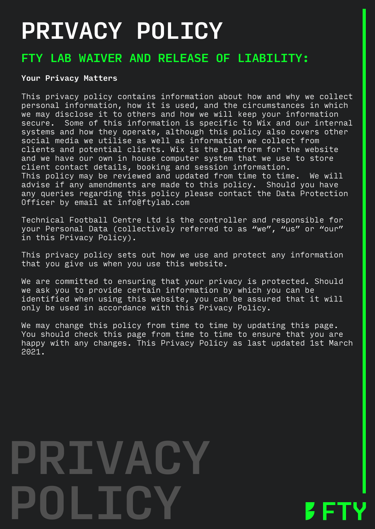# PRIVACY POLICY

## FTY LAB WAIVER AND RELEASE OF LIABILITY:

#### Your Privacy Matters

This privacy policy contains information about how and why we collect personal information, how it is used, and the circumstances in which we may disclose it to others and how we will keep your information secure. Some of this information is specific to Wix and our internal systems and how they operate, although this policy also covers other social media we utilise as well as information we collect from clients and potential clients. Wix is the platform for the website and we have our own in house computer system that we use to store client contact details, booking and session information. This policy may be reviewed and updated from time to time. We will advise if any amendments are made to this policy. Should you have any queries regarding this policy please contact the Data Protection Officer by email at info@ftylab.com

Technical Football Centre Ltd is the controller and responsible for your Personal Data (collectively referred to as "we", "us" or "our" in this Privacy Policy).

This privacy policy sets out how we use and protect any information that you give us when you use this website.

We are committed to ensuring that your privacy is protected. Should we ask you to provide certain information by which you can be identified when using this website, you can be assured that it will only be used in accordance with this Privacy Policy.

We may change this policy from time to time by updating this page. You should check this page from time to time to ensure that you are happy with any changes. This Privacy Policy as last updated 1st March 2021.

# PRIVACY POLICY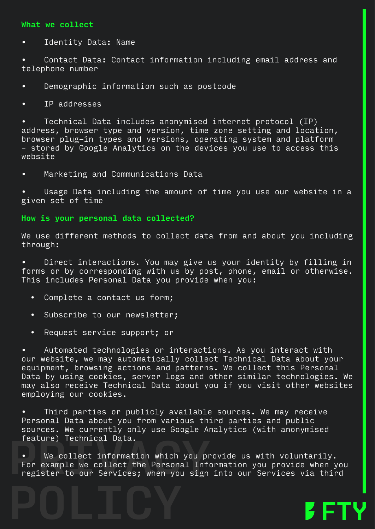#### What we collect

• Identity Data: Name

• Contact Data: Contact information including email address and telephone number

- Demographic information such as postcode
- IP addresses

• Technical Data includes anonymised internet protocol (IP) address, browser type and version, time zone setting and location, browser plug-in types and versions, operating system and platform – stored by Google Analytics on the devices you use to access this website

• Marketing and Communications Data

Usage Data including the amount of time you use our website in a given set of time

#### How is your personal data collected?

We use different methods to collect data from and about you including through:

Direct interactions. You may give us your identity by filling in forms or by corresponding with us by post, phone, email or otherwise. This includes Personal Data you provide when you:

- Complete a contact us form;
- Subscribe to our newsletter;
- Request service support; or

Automated technologies or interactions. As you interact with our website, we may automatically collect Technical Data about your equipment, browsing actions and patterns. We collect this Personal Data by using cookies, server logs and other similar technologies. We may also receive Technical Data about you if you visit other websites employing our cookies.

Third parties or publicly available sources. We may receive Personal Data about you from various third parties and public sources. We currently only use Google Analytics (with anonymised feature) Technical Data.

external parts of the collect information which you provide the collect the Personal Information which you provide the collect the Personal Information which you sign  $\bullet$  We collect information which you provide us with voluntarily. For example we collect the Personal Information you provide when you register to our Services; when you sign into our Services via third

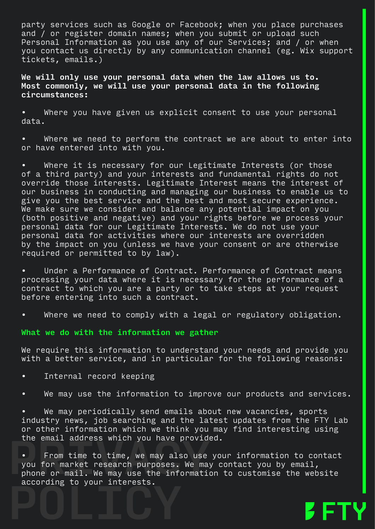party services such as Google or Facebook; when you place purchases and / or register domain names; when you submit or upload such Personal Information as you use any of our Services; and / or when you contact us directly by any communication channel (eg. Wix support tickets, emails.)

We will only use your personal data when the law allows us to. Most commonly, we will use your personal data in the following circumstances:

Where you have given us explicit consent to use your personal data.

Where we need to perform the contract we are about to enter into or have entered into with you.

Where it is necessary for our Legitimate Interests (or those of a third party) and your interests and fundamental rights do not override those interests. Legitimate Interest means the interest of our business in conducting and managing our business to enable us to give you the best service and the best and most secure experience. We make sure we consider and balance any potential impact on you (both positive and negative) and your rights before we process your personal data for our Legitimate Interests. We do not use your personal data for activities where our interests are overridden by the impact on you (unless we have your consent or are otherwise required or permitted to by law).

Under a Performance of Contract. Performance of Contract means processing your data where it is necessary for the performance of a contract to which you are a party or to take steps at your request before entering into such a contract.

• Where we need to comply with a legal or regulatory obligation.

What we do with the information we gather

We require this information to understand your needs and provide you with a better service, and in particular for the following reasons:

- Internal record keeping
- We may use the information to improve our products and services.

We may periodically send emails about new vacancies, sports industry news, job searching and the latest updates from the FTY Lab or other information which we think you may find interesting using the email address which you have provided.

end that the control of the protect of the proteins of the proteins of the proteins of the protein plane or mail. We may use the information according to your interests. POLICY • From time to time, we may also use your information to contact you for market research purposes. We may contact you by email, phone or mail. We may use the information to customise the website according to your interests.

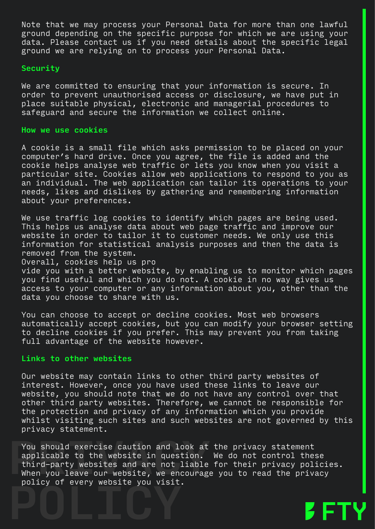Note that we may process your Personal Data for more than one lawful ground depending on the specific purpose for which we are using your data. Please contact us if you need details about the specific legal ground we are relying on to process your Personal Data.

#### **Security**

We are committed to ensuring that your information is secure. In order to prevent unauthorised access or disclosure, we have put in place suitable physical, electronic and managerial procedures to safeguard and secure the information we collect online.

#### How we use cookies

A cookie is a small file which asks permission to be placed on your computer's hard drive. Once you agree, the file is added and the cookie helps analyse web traffic or lets you know when you visit a particular site. Cookies allow web applications to respond to you as an individual. The web application can tailor its operations to your needs, likes and dislikes by gathering and remembering information about your preferences.

We use traffic log cookies to identify which pages are being used. This helps us analyse data about web page traffic and improve our website in order to tailor it to customer needs. We only use this information for statistical analysis purposes and then the data is removed from the system.

Overall, cookies help us pro

vide you with a better website, by enabling us to monitor which pages you find useful and which you do not. A cookie in no way gives us access to your computer or any information about you, other than the data you choose to share with us.

You can choose to accept or decline cookies. Most web browsers automatically accept cookies, but you can modify your browser setting to decline cookies if you prefer. This may prevent you from taking full advantage of the website however.

#### Links to other websites

Our website may contain links to other third party websites of interest. However, once you have used these links to leave our website, you should note that we do not have any control over that other third party websites. Therefore, we cannot be responsible for the protection and privacy of any information which you provide whilst visiting such sites and such websites are not governed by this privacy statement.

You should exercise caution and look at the privacy statement<br>applicable to the website in question. We do not control thes<br>third–party websites and are not liable for their privacy poli<br>When you leave our website, we enco POLICY applicable to the website in question. We do not control these third-party websites and are not liable for their privacy policies. When you leave our website, we encourage you to read the privacy policy of every website you visit.

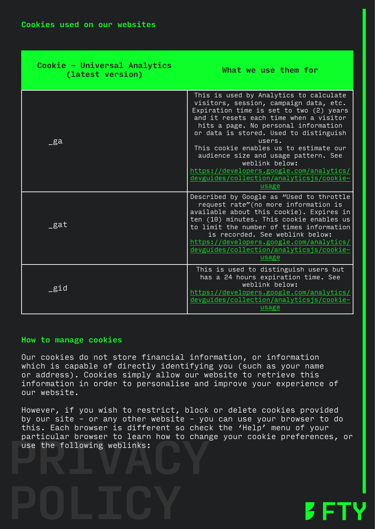| Cookie - Universal Analytics<br>(latest version) | What we use them for                                                                                                                                                                                                                                                                                                                                                                                                                                                   |
|--------------------------------------------------|------------------------------------------------------------------------------------------------------------------------------------------------------------------------------------------------------------------------------------------------------------------------------------------------------------------------------------------------------------------------------------------------------------------------------------------------------------------------|
| $_{\rm \perp}$ ga                                | This is used by Analytics to calculate<br>visitors, session, campaign data, etc.<br>Expiration time is set to two (2) years<br>and it resets each time when a visitor<br>hits a page. No personal information<br>or data is stored. Used to distinguish<br>users.<br>This cookie enables us to estimate our<br>audience size and usage pattern. See<br>weblink below:<br>https://developers.google.com/analytics/<br>devguides/collection/analyticsjs/cookie-<br>usage |
| gat                                              | Described by Google as "Used to throttle<br>request rate" (no more information is<br>available about this cookie). Expires in<br>ten (10) minutes. This cookie enables us<br>to limit the number of times information<br>is recorded. See weblink below:<br>https://developers.google.com/analytics/<br>devguides/collection/analyticsjs/cookie-<br>usage                                                                                                              |
| gid                                              | This is used to distinguish users but<br>has a 24 hours expiration time. See<br>weblink below:<br>https://developers.google.com/analytics/<br>devguides/collection/analyticsjs/cookie-<br>usage                                                                                                                                                                                                                                                                        |

#### How to manage cookies

Our cookies do not store financial information, or information which is capable of directly identifying you (such as your name or address). Cookies simply allow our website to retrieve this information in order to personalise and improve your experience of our website.

was the following weblinks:<br>
The following weblinks:<br>
The following weblinks:<br>
The following weblinks: However, if you wish to restrict, block or delete cookies provided by our site – or any other website – you can use your browser to do this. Each browser is different so check the 'Help' menu of your particular browser to learn how to change your cookie preferences, or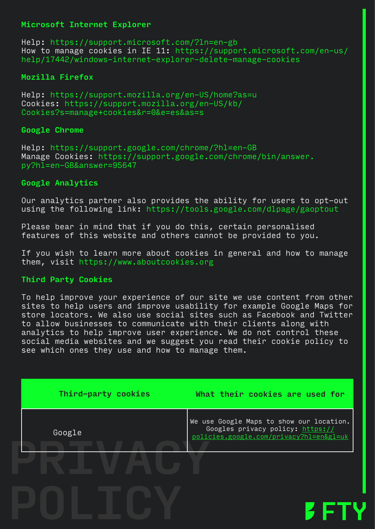## Microsoft Internet Explorer

Help: https://support.microsoft.com/?ln=en-gb How to manage cookies in IE 11: https://support.microsoft.com/en-us/ help/17442/windows-internet-explorer-delete-manage-cookies

### Mozilla Firefox

Help: https://support.mozilla.org/en-US/home?as=u Cookies: https://support.mozilla.org/en-US/kb/ Cookies?s=manage+cookies&r=0&e=es&as=s

#### Google Chrome

Help: https://support.google.com/chrome/?hl=en-GB Manage Cookies: https://support.google.com/chrome/bin/answer. py?hl=en-GB&answer=95647

#### Google Analytics

Our analytics partner also provides the ability for users to opt-out using the following link: https://tools.google.com/dlpage/gaoptout

Please bear in mind that if you do this, certain personalised features of this website and others cannot be provided to you.

If you wish to learn more about cookies in general and how to manage them, visit https://www.aboutcookies.org

#### Third Party Cookies

To help improve your experience of our site we use content from other sites to help users and improve usability for example Google Maps for store locators. We also use social sites such as Facebook and Twitter to allow businesses to communicate with their clients along with analytics to help improve user experience. We do not control these social media websites and we suggest you read their cookie policy to see which ones they use and how to manage them.

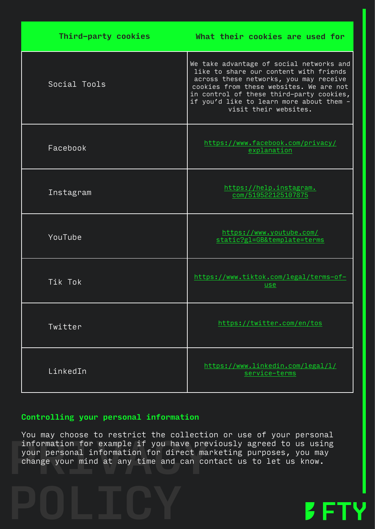| Third-party cookies | What their cookies are used for                                                                                                                                                                                                                                                          |
|---------------------|------------------------------------------------------------------------------------------------------------------------------------------------------------------------------------------------------------------------------------------------------------------------------------------|
| Social Tools        | We take advantage of social networks and<br>like to share our content with friends<br>across these networks, you may receive<br>cookies from these websites. We are not<br>in control of these third-party cookies,<br>if you'd like to learn more about them -<br>visit their websites. |
| Facebook            | https://www.facebook.com/privacy/<br>explanation                                                                                                                                                                                                                                         |
| Instagram           | https://help.instagram.<br>com/519522125107875                                                                                                                                                                                                                                           |
| YouTube             | https://www.youtube.com/<br>static?gl=GB&template=terms                                                                                                                                                                                                                                  |
| Tik Tok             | https://www.tiktok.com/legal/terms-of-<br>use                                                                                                                                                                                                                                            |
| Twitter             | https://twitter.com/en/tos                                                                                                                                                                                                                                                               |
| LinkedIn            | https://www.linkedin.com/legal/1/<br>service-terms                                                                                                                                                                                                                                       |

### Controlling your personal information

information for example if you have previously agreed to us using<br>your personal information for direct marketing purposes, you may<br>change your mind at any time and can contact us to let us know. You may choose to restrict the collection or use of your personal your personal information for direct marketing purposes, you may change your mind at any time and can contact us to let us know.

5 F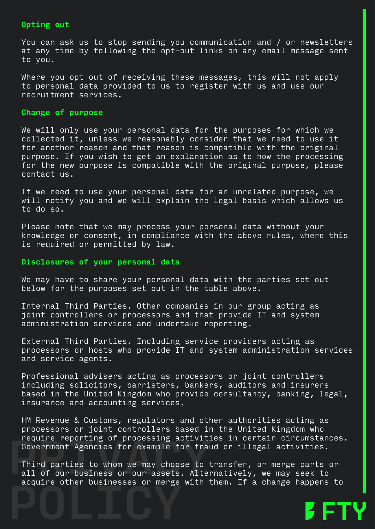#### Opting out

You can ask us to stop sending you communication and / or newsletters at any time by following the opt-out links on any email message sent to you.

Where you opt out of receiving these messages, this will not apply to personal data provided to us to register with us and use our recruitment services.

#### Change of purpose

We will only use your personal data for the purposes for which we collected it, unless we reasonably consider that we need to use it for another reason and that reason is compatible with the original purpose. If you wish to get an explanation as to how the processing for the new purpose is compatible with the original purpose, please contact us.

If we need to use your personal data for an unrelated purpose, we will notify you and we will explain the legal basis which allows us to do so.

Please note that we may process your personal data without your knowledge or consent, in compliance with the above rules, where this is required or permitted by law.

#### Disclosures of your personal data

We may have to share your personal data with the parties set out below for the purposes set out in the table above.

Internal Third Parties. Other companies in our group acting as joint controllers or processors and that provide IT and system administration services and undertake reporting.

External Third Parties. Including service providers acting as processors or hosts who provide IT and system administration services and service agents.

Professional advisers acting as processors or joint controllers including solicitors, barristers, bankers, auditors and insurers based in the United Kingdom who provide consultancy, banking, legal, insurance and accounting services.

HM Revenue & Customs, regulators and other authorities acting as processors or joint controllers based in the United Kingdom who require reporting of processing activities in certain circumstances.

Fournment Agencies for example for fraud or illegal activities.<br>Third parties to whom we may choose to transfer, or merge parts<br>all of our business or our assets. Alternatively, we may seek to<br>acquire other businesses or m POLICY Third parties to whom we may choose to transfer, or merge parts or all of our business or our assets. Alternatively, we may seek to acquire other businesses or merge with them. If a change happens to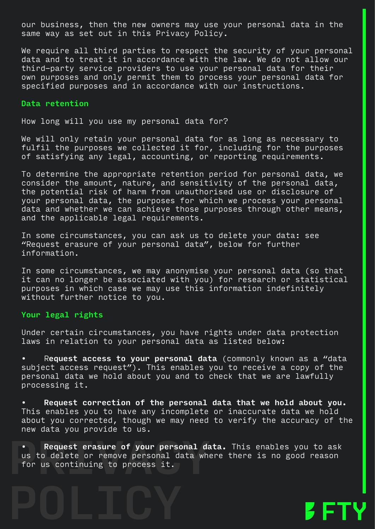our business, then the new owners may use your personal data in the same way as set out in this Privacy Policy.

We require all third parties to respect the security of your personal data and to treat it in accordance with the law. We do not allow our third-party service providers to use your personal data for their own purposes and only permit them to process your personal data for specified purposes and in accordance with our instructions.

#### Data retention

How long will you use my personal data for?

We will only retain your personal data for as long as necessary to fulfil the purposes we collected it for, including for the purposes of satisfying any legal, accounting, or reporting requirements.

To determine the appropriate retention period for personal data, we consider the amount, nature, and sensitivity of the personal data, the potential risk of harm from unauthorised use or disclosure of your personal data, the purposes for which we process your personal data and whether we can achieve those purposes through other means, and the applicable legal requirements.

In some circumstances, you can ask us to delete your data: see "Request erasure of your personal data", below for further information.

In some circumstances, we may anonymise your personal data (so that it can no longer be associated with you) for research or statistical purposes in which case we may use this information indefinitely without further notice to you.

#### Your legal rights

Under certain circumstances, you have rights under data protection laws in relation to your personal data as listed below:

Request access to your personal data (commonly known as a "data subject access request"). This enables you to receive a copy of the personal data we hold about you and to check that we are lawfully processing it.

• Request correction of the personal data that we hold about you. This enables you to have any incomplete or inaccurate data we hold about you corrected, though we may need to verify the accuracy of the new data you provide to us.

• Request erasure of your personal da<br>us to delete or remove personal data whe<br>for us continuing to process it. Request erasure of your personal data. This enables you to ask us to delete or remove personal data where there is no good reason for us continuing to process it.

l F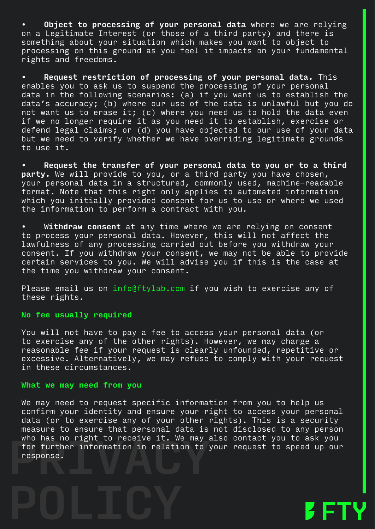Object to processing of your personal data where we are relying on a Legitimate Interest (or those of a third party) and there is something about your situation which makes you want to object to processing on this ground as you feel it impacts on your fundamental rights and freedoms.

Request restriction of processing of your personal data. This enables you to ask us to suspend the processing of your personal data in the following scenarios: (a) if you want us to establish the data's accuracy; (b) where our use of the data is unlawful but you do not want us to erase it; (c) where you need us to hold the data even if we no longer require it as you need it to establish, exercise or defend legal claims; or (d) you have objected to our use of your data but we need to verify whether we have overriding legitimate grounds to use it.

Request the transfer of your personal data to you or to a third party. We will provide to you, or a third party you have chosen, your personal data in a structured, commonly used, machine-readable format. Note that this right only applies to automated information which you initially provided consent for us to use or where we used the information to perform a contract with you.

• Withdraw consent at any time where we are relying on consent to process your personal data. However, this will not affect the lawfulness of any processing carried out before you withdraw your consent. If you withdraw your consent, we may not be able to provide certain services to you. We will advise you if this is the case at the time you withdraw your consent.

Please email us on info@ftylab.com if you wish to exercise any of these rights.

#### No fee usually required

You will not have to pay a fee to access your personal data (or to exercise any of the other rights). However, we may charge a reasonable fee if your request is clearly unfounded, repetitive or excessive. Alternatively, we may refuse to comply with your request in these circumstances.

#### What we may need from you

for further information in relation to your request to speed up our response. We may need to request specific information from you to help us confirm your identity and ensure your right to access your personal data (or to exercise any of your other rights). This is a security measure to ensure that personal data is not disclosed to any person who has no right to receive it. We may also contact you to ask you response.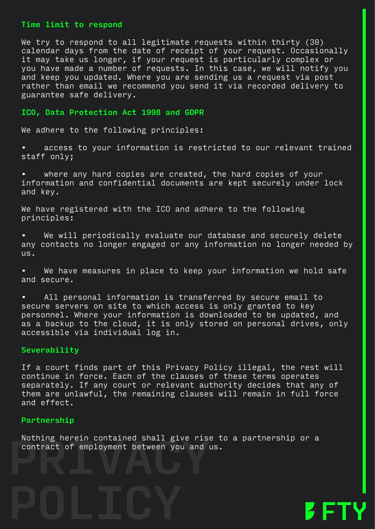#### Time limit to respond

We try to respond to all legitimate requests within thirty (30) calendar days from the date of receipt of your request. Occasionally it may take us longer, if your request is particularly complex or you have made a number of requests. In this case, we will notify you and keep you updated. Where you are sending us a request via post rather than email we recommend you send it via recorded delivery to guarantee safe delivery.

#### ICO, Data Protection Act 1998 and GDPR

We adhere to the following principles:

access to your information is restricted to our relevant trained staff only;

where any hard copies are created, the hard copies of your information and confidential documents are kept securely under lock and key.

We have registered with the ICO and adhere to the following principles:

We will periodically evaluate our database and securely delete any contacts no longer engaged or any information no longer needed by us.

We have measures in place to keep your information we hold safe and secure.

• All personal information is transferred by secure email to secure servers on site to which access is only granted to key personnel. Where your information is downloaded to be updated, and as a backup to the cloud, it is only stored on personal drives, only accessible via individual log in.

#### Severability

If a court finds part of this Privacy Policy illegal, the rest will continue in force. Each of the clauses of these terms operates separately. If any court or relevant authority decides that any of them are unlawful, the remaining clauses will remain in full force and effect.

#### Partnership

Nothing North Contracting Sharp School 200 . 200 . 200 contract of employment between you and us. Nothing herein contained shall give rise to a partnership or a

## 5 FT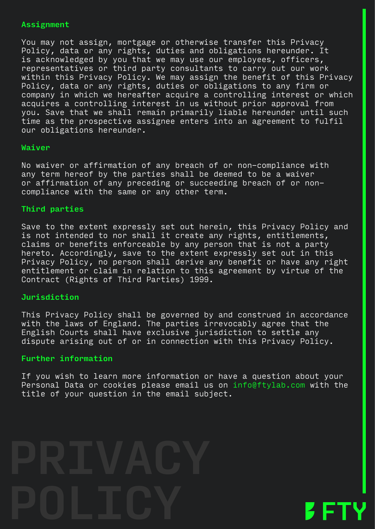#### Assignment

You may not assign, mortgage or otherwise transfer this Privacy Policy, data or any rights, duties and obligations hereunder. It is acknowledged by you that we may use our employees, officers, representatives or third party consultants to carry out our work within this Privacy Policy. We may assign the benefit of this Privacy Policy, data or any rights, duties or obligations to any firm or company in which we hereafter acquire a controlling interest or which acquires a controlling interest in us without prior approval from you. Save that we shall remain primarily liable hereunder until such time as the prospective assignee enters into an agreement to fulfil our obligations hereunder.

#### Waiver

No waiver or affirmation of any breach of or non-compliance with any term hereof by the parties shall be deemed to be a waiver or affirmation of any preceding or succeeding breach of or noncompliance with the same or any other term.

#### Third parties

Save to the extent expressly set out herein, this Privacy Policy and is not intended to nor shall it create any rights, entitlements, claims or benefits enforceable by any person that is not a party hereto. Accordingly, save to the extent expressly set out in this Privacy Policy, no person shall derive any benefit or have any right entitlement or claim in relation to this agreement by virtue of the Contract (Rights of Third Parties) 1999.

#### Jurisdiction

This Privacy Policy shall be governed by and construed in accordance with the laws of England. The parties irrevocably agree that the English Courts shall have exclusive jurisdiction to settle any dispute arising out of or in connection with this Privacy Policy.

#### Further information

If you wish to learn more information or have a question about your Personal Data or cookies please email us on info@ftylab.com with the title of your question in the email subject.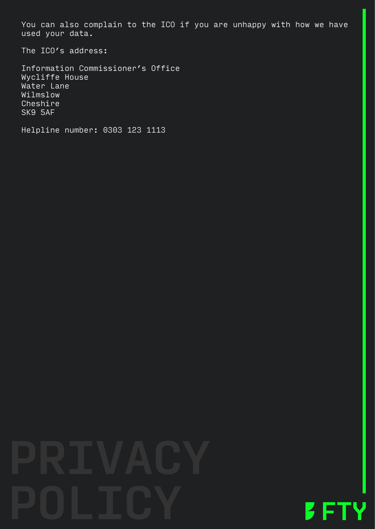You can also complain to the ICO if you are unhappy with how we have used your data.

The ICO's address:

Information Commissioner's Office Wycliffe House Water Lane Wilmslow Cheshire SK9 5AF

Helpline number: 0303 123 1113

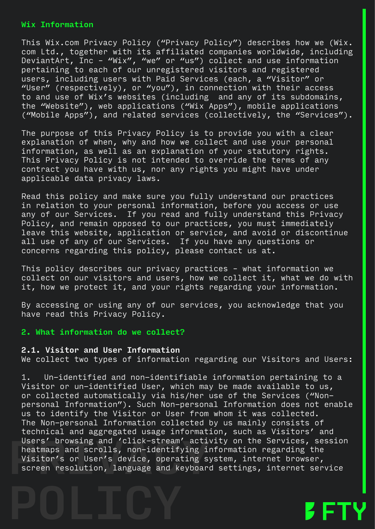#### Wix Information

This Wix.com Privacy Policy ("Privacy Policy") describes how we (Wix. com Ltd., together with its affiliated companies worldwide, including DeviantArt, Inc – "Wix", "we" or "us") collect and use information pertaining to each of our unregistered visitors and registered users, including users with Paid Services (each, a "Visitor" or "User" (respectively), or "you"), in connection with their access to and use of Wix's websites (including and any of its subdomains, the "Website"), web applications ("Wix Apps"), mobile applications ("Mobile Apps"), and related services (collectively, the "Services").

The purpose of this Privacy Policy is to provide you with a clear explanation of when, why and how we collect and use your personal information, as well as an explanation of your statutory rights. This Privacy Policy is not intended to override the terms of any contract you have with us, nor any rights you might have under applicable data privacy laws.

Read this policy and make sure you fully understand our practices in relation to your personal information, before you access or use any of our Services. If you read and fully understand this Privacy Policy, and remain opposed to our practices, you must immediately leave this website, application or service, and avoid or discontinue all use of any of our Services. If you have any questions or concerns regarding this policy, please contact us at.

This policy describes our privacy practices – what information we collect on our visitors and users, how we collect it, what we do with it, how we protect it, and your rights regarding your information.

By accessing or using any of our services, you acknowledge that you have read this Privacy Policy.

#### 2. What information do we collect?

#### 2.1. Visitor and User Information

We collect two types of information regarding our Visitors and Users:

Users' browsing and 'CIICK–Stream' active<br>heatmaps and scrolls, non–identifying in<br>Visitor's or User's device, operating sy<br>screen resolution, language and keyboard 1. Un-identified and non-identifiable information pertaining to a Visitor or un-identified User, which may be made available to us, or collected automatically via his/her use of the Services ("Nonpersonal Information"). Such Non-personal Information does not enable us to identify the Visitor or User from whom it was collected. The Non-personal Information collected by us mainly consists of technical and aggregated usage information, such as Visitors' and Users' browsing and 'click-stream' activity on the Services, session heatmaps and scrolls, non-identifying information regarding the Visitor's or User's device, operating system, internet browser, screen resolution, language and keyboard settings, internet service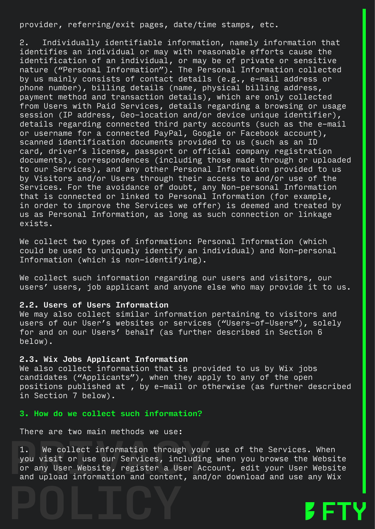provider, referring/exit pages, date/time stamps, etc.

2. Individually identifiable information, namely information that identifies an individual or may with reasonable efforts cause the identification of an individual, or may be of private or sensitive nature ("Personal Information"). The Personal Information collected by us mainly consists of contact details (e.g., e-mail address or phone number), billing details (name, physical billing address, payment method and transaction details), which are only collected from Users with Paid Services, details regarding a browsing or usage session (IP address, Geo-location and/or device unique identifier), details regarding connected third party accounts (such as the e-mail or username for a connected PayPal, Google or Facebook account), scanned identification documents provided to us (such as an ID card, driver's license, passport or official company registration documents), correspondences (including those made through or uploaded to our Services), and any other Personal Information provided to us by Visitors and/or Users through their access to and/or use of the Services. For the avoidance of doubt, any Non-personal Information that is connected or linked to Personal Information (for example, in order to improve the Services we offer) is deemed and treated by us as Personal Information, as long as such connection or linkage exists.

We collect two types of information: Personal Information (which could be used to uniquely identify an individual) and Non-personal Information (which is non-identifying).

We collect such information regarding our users and visitors, our users' users, job applicant and anyone else who may provide it to us.

#### 2.2. Users of Users Information

We may also collect similar information pertaining to visitors and users of our User's websites or services ("Users-of-Users"), solely for and on our Users' behalf (as further described in Section 6 below).

#### 2.3. Wix Jobs Applicant Information

We also collect information that is provided to us by Wix jobs candidates ("Applicants"), when they apply to any of the open positions published at , by e-mail or otherwise (as further described in Section 7 below).

#### 3. How do we collect such information?

There are two main methods we use:

1. We collect information through your<br>you visit or use our Services, including<br>or any User Website, register a User Acc<br>and upload information and content, and/ 1. We collect information through your use of the Services. When you visit or use our Services, including when you browse the Website or any User Website, register a User Account, edit your User Website and upload information and content, and/or download and use any Wix

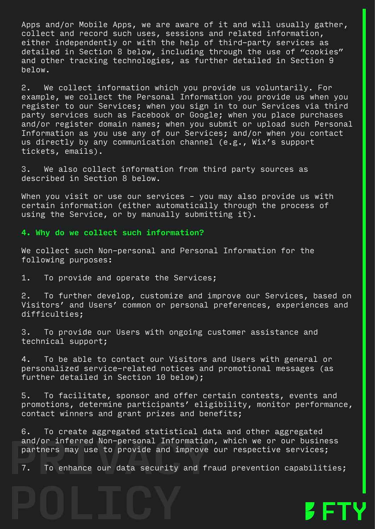Apps and/or Mobile Apps, we are aware of it and will usually gather, collect and record such uses, sessions and related information, either independently or with the help of third-party services as detailed in Section 8 below, including through the use of "cookies" and other tracking technologies, as further detailed in Section 9 below.

2. We collect information which you provide us voluntarily. For example, we collect the Personal Information you provide us when you register to our Services; when you sign in to our Services via third party services such as Facebook or Google; when you place purchases and/or register domain names; when you submit or upload such Personal Information as you use any of our Services; and/or when you contact us directly by any communication channel (e.g., Wix's support tickets, emails).

3. We also collect information from third party sources as described in Section 8 below.

When you visit or use our services – you may also provide us with certain information (either automatically through the process of using the Service, or by manually submitting it).

#### 4. Why do we collect such information?

We collect such Non-personal and Personal Information for the following purposes:

1. To provide and operate the Services;

2. To further develop, customize and improve our Services, based on Visitors' and Users' common or personal preferences, experiences and difficulties:

3. To provide our Users with ongoing customer assistance and technical support;

4. To be able to contact our Visitors and Users with general or personalized service-related notices and promotional messages (as further detailed in Section 10 below);

5. To facilitate, sponsor and offer certain contests, events and promotions, determine participants' eligibility, monitor performance, contact winners and grant prizes and benefits;

and/or interred Non–personal intormation<br>partners may use to provide and improve<br>7. To enhance our data security and fr 6. To create aggregated statistical data and other aggregated and/or inferred Non-personal Information, which we or our business partners may use to provide and improve our respective services;

7. To enhance our data security and fraud prevention capabilities;

# B F'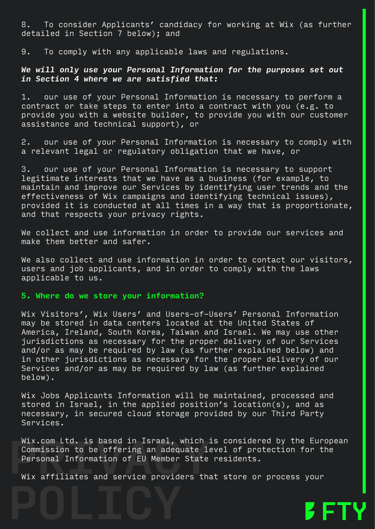8. To consider Applicants' candidacy for working at Wix (as further detailed in Section 7 below); and

9. To comply with any applicable laws and regulations.

#### *We will only use your Personal Information for the purposes set out in Section 4 where we are satisfied that:*

1. our use of your Personal Information is necessary to perform a contract or take steps to enter into a contract with you (e.g. to provide you with a website builder, to provide you with our customer assistance and technical support), or

2. our use of your Personal Information is necessary to comply with a relevant legal or regulatory obligation that we have, or

3. our use of your Personal Information is necessary to support legitimate interests that we have as a business (for example, to maintain and improve our Services by identifying user trends and the effectiveness of Wix campaigns and identifying technical issues), provided it is conducted at all times in a way that is proportionate, and that respects your privacy rights.

We collect and use information in order to provide our services and make them better and safer.

We also collect and use information in order to contact our visitors, users and job applicants, and in order to comply with the laws applicable to us.

#### 5. Where do we store your information?

Wix Visitors', Wix Users' and Users-of-Users' Personal Information may be stored in data centers located at the United States of America, Ireland, South Korea, Taiwan and Israel. We may use other jurisdictions as necessary for the proper delivery of our Services and/or as may be required by law (as further explained below) and in other jurisdictions as necessary for the proper delivery of our Services and/or as may be required by law (as further explained below).

Wix Jobs Applicants Information will be maintained, processed and stored in Israel, in the applied position's location(s), and as necessary, in secured cloud storage provided by our Third Party Services.

wix.com Ltd. is based in Israel, which is considered by the Euro<br>Commission to be offering an adequate level of protection for th<br>Personal Information of EU Member State residents.<br>Wix affiliates and service providers that Wix.com Ltd. is based in Israel, which is considered by the European Commission to be offering an adequate level of protection for the Personal Information of EU Member State residents.

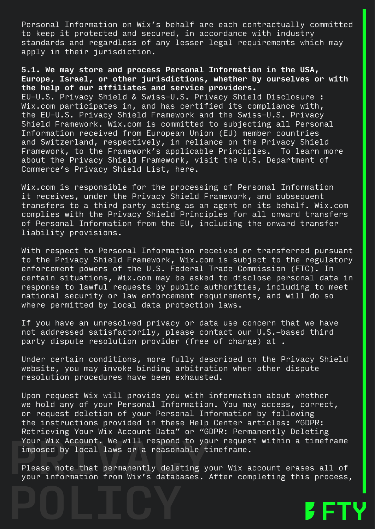Personal Information on Wix's behalf are each contractually committed to keep it protected and secured, in accordance with industry standards and regardless of any lesser legal requirements which may apply in their jurisdiction.

5.1. We may store and process Personal Information in the USA, Europe, Israel, or other jurisdictions, whether by ourselves or with the help of our affiliates and service providers. EU-U.S. Privacy Shield & Swiss-U.S. Privacy Shield Disclosure : Wix.com participates in, and has certified its compliance with, the EU-U.S. Privacy Shield Framework and the Swiss-U.S. Privacy Shield Framework. Wix.com is committed to subjecting all Personal Information received from European Union (EU) member countries and Switzerland, respectively, in reliance on the Privacy Shield Framework, to the Framework's applicable Principles. To learn more about the Privacy Shield Framework, visit the U.S. Department of Commerce's Privacy Shield List, here.

Wix.com is responsible for the processing of Personal Information it receives, under the Privacy Shield Framework, and subsequent transfers to a third party acting as an agent on its behalf. Wix.com complies with the Privacy Shield Principles for all onward transfers of Personal Information from the EU, including the onward transfer liability provisions.

With respect to Personal Information received or transferred pursuant to the Privacy Shield Framework, Wix.com is subject to the regulatory enforcement powers of the U.S. Federal Trade Commission (FTC). In certain situations, Wix.com may be asked to disclose personal data in response to lawful requests by public authorities, including to meet national security or law enforcement requirements, and will do so where permitted by local data protection laws.

If you have an unresolved privacy or data use concern that we have not addressed satisfactorily, please contact our U.S.-based third party dispute resolution provider (free of charge) at.

Under certain conditions, more fully described on the Privacy Shield website, you may invoke binding arbitration when other dispute resolution procedures have been exhausted.

Upon request Wix will provide you with information about whether we hold any of your Personal Information. You may access, correct, or request deletion of your Personal Information by following the instructions provided in these Help Center articles: "GDPR: Retrieving Your Wix Account Data" or "GDPR: Permanently Deleting Your Wix Account. We will respond to your request within a timeframe imposed by local laws or a reasonable timeframe.

Your wix Account. we will respond to you<br>imposed by local laws or a reasonable t:<br>Please note that permanently deleting your information from Wix's databases. Please note that permanently deleting your Wix account erases all of your information from Wix's databases. After completing this process,

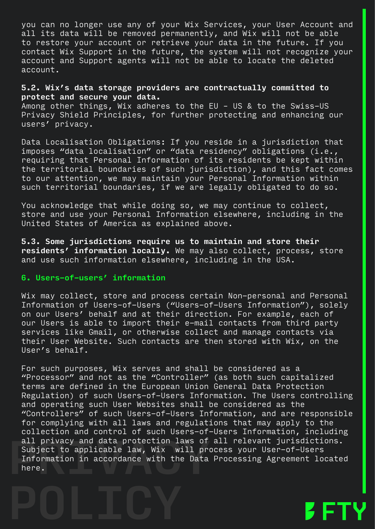you can no longer use any of your Wix Services, your User Account and  $\mathsf{all}$  its data will be removed permanently, and Wix will not be able to restore your account or retrieve your data in the future. If you contact Wix Support in the future, the system will not recognize your account and Support agents will not be able to locate the deleted account.

#### 5.2. Wix's data storage providers are contractually committed to protect and secure your data.

Among other things, Wix adheres to the EU – US & to the Swiss-US Privacy Shield Principles, for further protecting and enhancing our users' privacy.

Data Localisation Obligations: If you reside in a jurisdiction that imposes "data localisation" or "data residency" obligations (i.e., requiring that Personal Information of its residents be kept within the territorial boundaries of such jurisdiction), and this fact comes to our attention, we may maintain your Personal Information within such territorial boundaries, if we are legally obligated to do so.

You acknowledge that while doing so, we may continue to collect, store and use your Personal Information elsewhere, including in the United States of America as explained above.

5.3. Some jurisdictions require us to maintain and store their residents' information locally. We may also collect, process, store and use such information elsewhere, including in the USA.

#### 6. Users-of-users' information

Wix may collect, store and process certain Non-personal and Personal Information of Users-of-Users ("Users-of-Users Information"), solely on our Users' behalf and at their direction. For example, each of our Users is able to import their e-mail contacts from third party services like Gmail, or otherwise collect and manage contacts via their User Website. Such contacts are then stored with Wix, on the User's behalf.

all privacy and data protection laws of<br>Subject to applicable law, Wix will pro<br>Information in accordance with the Data<br>here. For such purposes, Wix serves and shall be considered as a "Processor" and not as the "Controller" (as both such capitalized terms are defined in the European Union General Data Protection Regulation) of such Users-of-Users Information. The Users controlling and operating such User Websites shall be considered as the "Controllers" of such Users-of-Users Information, and are responsible for complying with all laws and regulations that may apply to the collection and control of such Users-of-Users Information, including all privacy and data protection laws of all relevant jurisdictions. Subject to applicable law, Wix will process your User-of-Users Information in accordance with the Data Processing Agreement located here.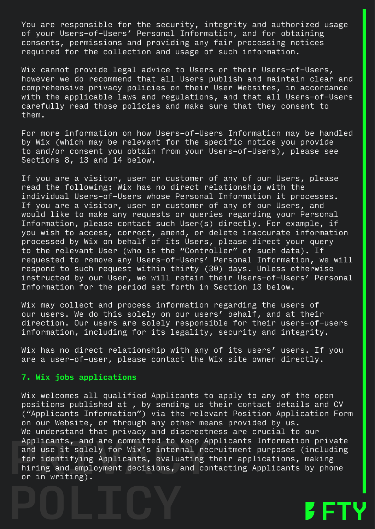You are responsible for the security, integrity and authorized usage of your Users-of-Users' Personal Information, and for obtaining consents, permissions and providing any fair processing notices required for the collection and usage of such information.

Wix cannot provide legal advice to Users or their Users-of-Users, however we do recommend that all Users publish and maintain clear and comprehensive privacy policies on their User Websites, in accordance with the applicable laws and regulations, and that all Users-of-Users carefully read those policies and make sure that they consent to them.

For more information on how Users-of-Users Information may be handled by Wix (which may be relevant for the specific notice you provide to and/or consent you obtain from your Users-of-Users), please see Sections 8, 13 and 14 below.

If you are a visitor, user or customer of any of our Users, please read the following: Wix has no direct relationship with the individual Users-of-Users whose Personal Information it processes. If you are a visitor, user or customer of any of our Users, and would like to make any requests or queries regarding your Personal Information, please contact such User(s) directly. For example, if you wish to access, correct, amend, or delete inaccurate information processed by Wix on behalf of its Users, please direct your query to the relevant User (who is the "Controller" of such data). If requested to remove any Users-of-Users' Personal Information, we will respond to such request within thirty (30) days. Unless otherwise instructed by our User, we will retain their Users-of-Users' Personal Information for the period set forth in Section 13 below.

Wix may collect and process information regarding the users of our users. We do this solely on our users' behalf, and at their direction. Our users are solely responsible for their users-of-users information, including for its legality, security and integrity.

Wix has no direct relationship with any of its users' users. If you are a user-of-user, please contact the Wix site owner directly.

#### 7. Wix jobs applications

Applicants, and are committed to keep Ap<br>and use it solely for Wix's internal red<br>for identifying Applicants, evaluating<br>hiring and employment decisions, and com<br>or in writing). Wix welcomes all qualified Applicants to apply to any of the open positions published at , by sending us their contact details and CV ("Applicants Information") via the relevant Position Application Form on our Website, or through any other means provided by us. We understand that privacy and discreetness are crucial to our Applicants, and are committed to keep Applicants Information private and use it solely for Wix's internal recruitment purposes (including for identifying Applicants, evaluating their applications, making hiring and employment decisions, and contacting Applicants by phone or in writing).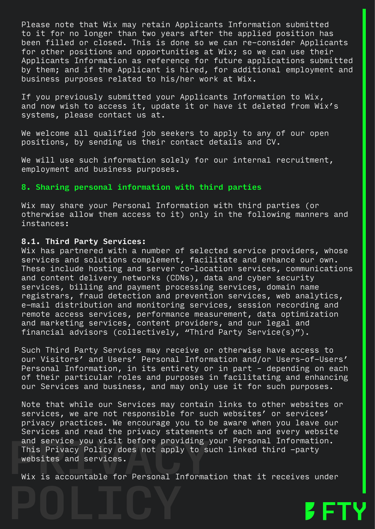Please note that Wix may retain Applicants Information submitted to it for no longer than two years after the applied position has been filled or closed. This is done so we can re-consider Applicants for other positions and opportunities at Wix; so we can use their Applicants Information as reference for future applications submitted by them; and if the Applicant is hired, for additional employment and business purposes related to his/her work at Wix.

If you previously submitted your Applicants Information to Wix, and now wish to access it, update it or have it deleted from Wix's systems, please contact us at.

We welcome all qualified job seekers to apply to any of our open positions, by sending us their contact details and CV.

We will use such information solely for our internal recruitment, employment and business purposes.

#### 8. Sharing personal information with third parties

Wix may share your Personal Information with third parties (or otherwise allow them access to it) only in the following manners and instances:

#### 8.1. Third Party Services:

Wix has partnered with a number of selected service providers, whose services and solutions complement, facilitate and enhance our own. These include hosting and server co-location services, communications and content delivery networks (CDNs), data and cyber security services, billing and payment processing services, domain name registrars, fraud detection and prevention services, web analytics, e-mail distribution and monitoring services, session recording and remote access services, performance measurement, data optimization and marketing services, content providers, and our legal and financial advisors (collectively, "Third Party Service(s)").

Such Third Party Services may receive or otherwise have access to our Visitors' and Users' Personal Information and/or Users-of-Users' Personal Information, in its entirety or in part – depending on each of their particular roles and purposes in facilitating and enhancing our Services and business, and may only use it for such purposes.

and service you visit berore providing<br>This Privacy Policy does not apply to su<br>websites and services.<br>Wix is accountable for Personal Informa<sup>.</sup> Note that while our Services may contain links to other websites or services, we are not responsible for such websites' or services' privacy practices. We encourage you to be aware when you leave our Services and read the privacy statements of each and every website and service you visit before providing your Personal Information. This Privacy Policy does not apply to such linked third -party websites and services.

Wix is accountable for Personal Information that it receives under

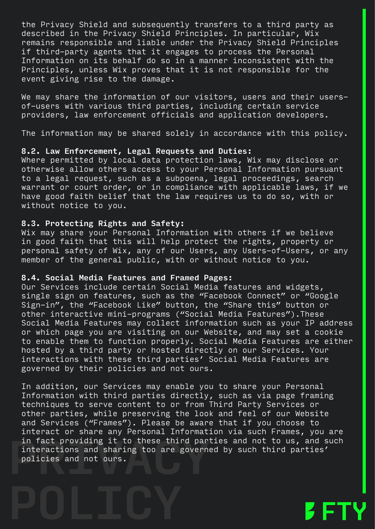the Privacy Shield and subsequently transfers to a third party as described in the Privacy Shield Principles. In particular, Wix remains responsible and liable under the Privacy Shield Principles if third-party agents that it engages to process the Personal Information on its behalf do so in a manner inconsistent with the Principles, unless Wix proves that it is not responsible for the event giving rise to the damage.

We may share the information of our visitors, users and their usersof-users with various third parties, including certain service providers, law enforcement officials and application developers.

The information may be shared solely in accordance with this policy.

#### 8.2. Law Enforcement, Legal Requests and Duties:

Where permitted by local data protection laws, Wix may disclose or otherwise allow others access to your Personal Information pursuant to a legal request, such as a subpoena, legal proceedings, search warrant or court order, or in compliance with applicable laws, if we have good faith belief that the law requires us to do so, with or without notice to you.

#### 8.3. Protecting Rights and Safety:

Wix may share your Personal Information with others if we believe in good faith that this will help protect the rights, property or personal safety of Wix, any of our Users, any Users-of-Users, or any member of the general public, with or without notice to you.

#### 8.4. Social Media Features and Framed Pages:

Our Services include certain Social Media features and widgets, single sign on features, such as the "Facebook Connect" or "Google Sign-in", the "Facebook Like" button, the "Share this" button or other interactive mini-programs ("Social Media Features").These Social Media Features may collect information such as your IP address or which page you are visiting on our Website, and may set a cookie to enable them to function properly. Social Media Features are either hosted by a third party or hosted directly on our Services. Your interactions with these third parties' Social Media Features are governed by their policies and not ours.

In fact providing it to these third part<br>interactions and sharing too are govern<br>policies and not ours. In addition, our Services may enable you to share your Personal Information with third parties directly, such as via page framing techniques to serve content to or from Third Party Services or other parties, while preserving the look and feel of our Website and Services ("Frames"). Please be aware that if you choose to interact or share any Personal Information via such Frames, you are in fact providing it to these third parties and not to us, and such interactions and sharing too are governed by such third parties' policies and not ours.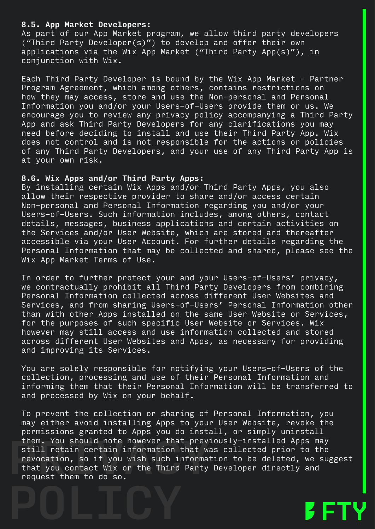#### 8.5. App Market Developers:

As part of our App Market program, we allow third party developers ("Third Party Developer(s)") to develop and offer their own applications via the Wix App Market ("Third Party App(s)"), in conjunction with Wix.

Each Third Party Developer is bound by the Wix App Market – Partner Program Agreement, which among others, contains restrictions on how they may access, store and use the Non-personal and Personal Information you and/or your Users-of-Users provide them or us. We encourage you to review any privacy policy accompanying a Third Party App and ask Third Party Developers for any clarifications you may need before deciding to install and use their Third Party App. Wix does not control and is not responsible for the actions or policies of any Third Party Developers, and your use of any Third Party App is at your own risk.

#### 8.6. Wix Apps and/or Third Party Apps:

By installing certain Wix Apps and/or Third Party Apps, you also allow their respective provider to share and/or access certain Non-personal and Personal Information regarding you and/or your Users-of-Users. Such information includes, among others, contact details, messages, business applications and certain activities on the Services and/or User Website, which are stored and thereafter accessible via your User Account. For further details regarding the Personal Information that may be collected and shared, please see the Wix App Market Terms of Use.

In order to further protect your and your Users-of-Users' privacy, we contractually prohibit all Third Party Developers from combining Personal Information collected across different User Websites and Services, and from sharing Users-of-Users' Personal Information other than with other Apps installed on the same User Website or Services, for the purposes of such specific User Website or Services. Wix however may still access and use information collected and stored across different User Websites and Apps, as necessary for providing and improving its Services.

You are solely responsible for notifying your Users-of-Users of the collection, processing and use of their Personal Information and informing them that their Personal Information will be transferred to and processed by Wix on your behalf.

them. You should note nowever that previstill retain certain information that was<br>revocation, so if you wish such informat<br>that you contact Wix or the Third Party<br>request them to do so. To prevent the collection or sharing of Personal Information, you may either avoid installing Apps to your User Website, revoke the permissions granted to Apps you do install, or simply uninstall them. You should note however that previously-installed Apps may still retain certain information that was collected prior to the revocation, so if you wish such information to be deleted, we suggest that you contact Wix or the Third Party Developer directly and request them to do so.

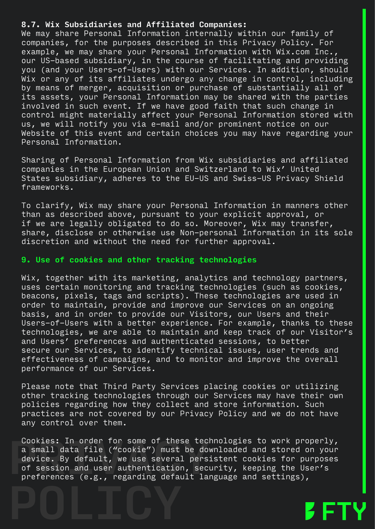#### 8.7. Wix Subsidiaries and Affiliated Companies:

We may share Personal Information internally within our family of companies, for the purposes described in this Privacy Policy. For example, we may share your Personal Information with Wix.com Inc., our US-based subsidiary, in the course of facilitating and providing you (and your Users-of-Users) with our Services. In addition, should Wix or any of its affiliates undergo any change in control, including by means of merger, acquisition or purchase of substantially all of its assets, your Personal Information may be shared with the parties involved in such event. If we have good faith that such change in control might materially affect your Personal Information stored with us, we will notify you via e-mail and/or prominent notice on our Website of this event and certain choices you may have regarding your Personal Information.

Sharing of Personal Information from Wix subsidiaries and affiliated companies in the European Union and Switzerland to Wix' United States subsidiary, adheres to the EU-US and Swiss-US Privacy Shield frameworks.

To clarify, Wix may share your Personal Information in manners other than as described above, pursuant to your explicit approval, or if we are legally obligated to do so. Moreover, Wix may transfer, share, disclose or otherwise use Non-personal Information in its sole discretion and without the need for further approval.

#### 9. Use of cookies and other tracking technologies

Wix, together with its marketing, analytics and technology partners, uses certain monitoring and tracking technologies (such as cookies, beacons, pixels, tags and scripts). These technologies are used in order to maintain, provide and improve our Services on an ongoing basis, and in order to provide our Visitors, our Users and their Users-of-Users with a better experience. For example, thanks to these technologies, we are able to maintain and keep track of our Visitor's and Users' preferences and authenticated sessions, to better secure our Services, to identify technical issues, user trends and effectiveness of campaigns, and to monitor and improve the overall performance of our Services.

Please note that Third Party Services placing cookies or utilizing other tracking technologies through our Services may have their own policies regarding how they collect and store information. Such practices are not covered by our Privacy Policy and we do not have any control over them.

COOKIES: In order for some of these teck<br>a small data file ("cookie") must be dow<br>device. By default, we use several pers:<br>of session and user authentication, secw<br>preferences (e.g., regarding default lan Cookies: In order for some of these technologies to work properly, a small data file ("cookie") must be downloaded and stored on your device. By default, we use several persistent cookies for purposes of session and user authentication, security, keeping the User's preferences (e.g., regarding default language and settings),

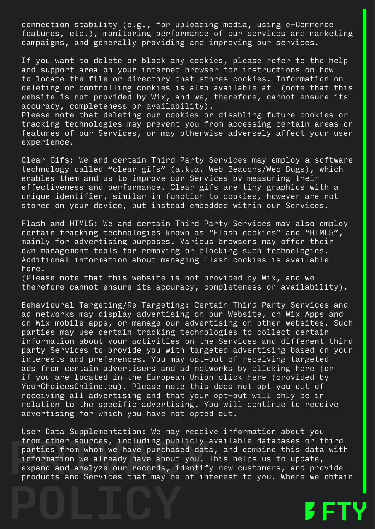connection stability (e.g., for uploading media, using e-Commerce features, etc.), monitoring performance of our services and marketing campaigns, and generally providing and improving our services.

If you want to delete or block any cookies, please refer to the help and support area on your internet browser for instructions on how to locate the file or directory that stores cookies. Information on deleting or controlling cookies is also available at (note that this website is not provided by Wix, and we, therefore, cannot ensure its accuracy, completeness or availability). Please note that deleting our cookies or disabling future cookies or

tracking technologies may prevent you from accessing certain areas or features of our Services, or may otherwise adversely affect your user experience.

Clear Gifs: We and certain Third Party Services may employ a software technology called "clear gifs" (a.k.a. Web Beacons/Web Bugs), which enables them and us to improve our Services by measuring their effectiveness and performance. Clear gifs are tiny graphics with a unique identifier, similar in function to cookies, however are not stored on your device, but instead embedded within our Services.

Flash and HTML5: We and certain Third Party Services may also employ certain tracking technologies known as "Flash cookies" and "HTML5", mainly for advertising purposes. Various browsers may offer their own management tools for removing or blocking such technologies. Additional information about managing Flash cookies is available here.

(Please note that this website is not provided by Wix, and we therefore cannot ensure its accuracy, completeness or availability).

Behavioural Targeting/Re-Targeting: Certain Third Party Services and ad networks may display advertising on our Website, on Wix Apps and on Wix mobile apps, or manage our advertising on other websites. Such parties may use certain tracking technologies to collect certain information about your activities on the Services and different third party Services to provide you with targeted advertising based on your interests and preferences. You may opt-out of receiving targeted ads from certain advertisers and ad networks by clicking here (or if you are located in the European Union click here (provided by YourChoicesOnline.eu). Please note this does not opt you out of receiving all advertising and that your opt-out will only be in relation to the specific advertising. You will continue to receive advertising for which you have not opted out.

rrom other sources, including publicly a<br>parties from whom we have purchased data<br>information we already have about you.<br>expand and analyze our records, identify<br>products and Services that may be of in User Data Supplementation: We may receive information about you from other sources, including publicly available databases or third parties from whom we have purchased data, and combine this data with information we already have about you. This helps us to update, expand and analyze our records, identify new customers, and provide products and Services that may be of interest to you. Where we obtain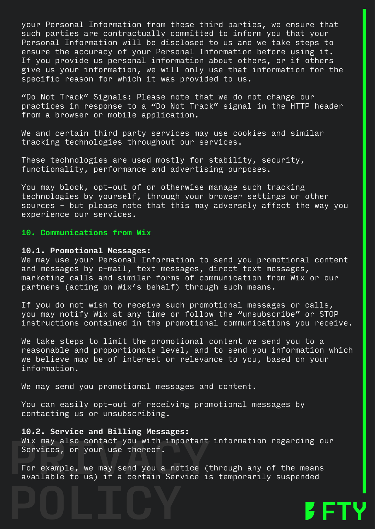your Personal Information from these third parties, we ensure that such parties are contractually committed to inform you that your Personal Information will be disclosed to us and we take steps to ensure the accuracy of your Personal Information before using it. If you provide us personal information about others, or if others give us your information, we will only use that information for the specific reason for which it was provided to us.

"Do Not Track" Signals: Please note that we do not change our practices in response to a "Do Not Track" signal in the HTTP header from a browser or mobile application.

We and certain third party services may use cookies and similar tracking technologies throughout our services.

These technologies are used mostly for stability, security, functionality, performance and advertising purposes.

You may block, opt-out of or otherwise manage such tracking technologies by yourself, through your browser settings or other sources – but please note that this may adversely affect the way you experience our services.

#### 10. Communications from Wix

#### 10.1. Promotional Messages:

We may use your Personal Information to send you promotional content and messages by e-mail, text messages, direct text messages,  $\overline{m}$  marketing calls and similar forms of communication from Wix or our partners (acting on Wix's behalf) through such means.

If you do not wish to receive such promotional messages or calls, you may notify Wix at any time or follow the "unsubscribe" or STOP instructions contained in the promotional communications you receive.

We take steps to limit the promotional content we send you to a reasonable and proportionate level, and to send you information which we believe may be of interest or relevance to you, based on your information.

We may send you promotional messages and content.

You can easily opt-out of receiving promotional messages by contacting us or unsubscribing.

#### 10.2. Service and Billing Messages:

Wix may also contact you with important information regarding our Services, or your use thereof.

wix may also contact you with important<br>Services, or your use thereof.<br>For example, we may send you a notice (<br>available to us) if a certain Service is For example, we may send you a notice (through any of the means available to us) if a certain Service is temporarily suspended

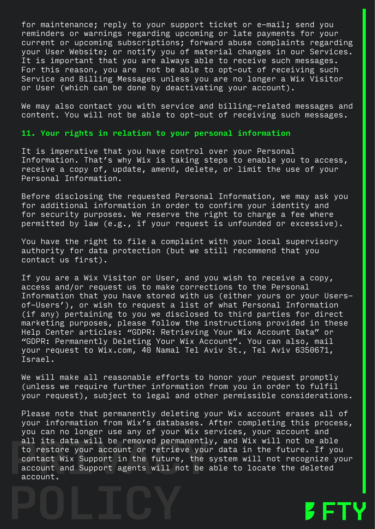for maintenance; reply to your support ticket or e-mail; send you reminders or warnings regarding upcoming or late payments for your current or upcoming subscriptions; forward abuse complaints regarding your User Website; or notify you of material changes in our Services. It is important that you are always able to receive such messages. For this reason, you are not be able to opt-out of receiving such Service and Billing Messages unless you are no longer a Wix Visitor or User (which can be done by deactivating your account).

We may also contact you with service and billing-related messages and content. You will not be able to opt-out of receiving such messages.

11. Your rights in relation to your personal information

It is imperative that you have control over your Personal Information. That's why Wix is taking steps to enable you to access, receive a copy of, update, amend, delete, or limit the use of your Personal Information.

Before disclosing the requested Personal Information, we may ask you for additional information in order to confirm your identity and for security purposes. We reserve the right to charge a fee where permitted by law (e.g., if your request is unfounded or excessive).

You have the right to file a complaint with your local supervisory authority for data protection (but we still recommend that you contact us first).

If you are a Wix Visitor or User, and you wish to receive a copy, access and/or request us to make corrections to the Personal Information that you have stored with us (either yours or your Usersof-Users'), or wish to request a list of what Personal Information (if any) pertaining to you we disclosed to third parties for direct marketing purposes, please follow the instructions provided in these Help Center articles: "GDPR: Retrieving Your Wix Account Data" or "GDPR: Permanently Deleting Your Wix Account". You can also, mail your request to Wix.com, 40 Namal Tel Aviv St., Tel Aviv 6350671, Israel.

We will make all reasonable efforts to honor your request promptly (unless we require further information from you in order to fulfil your request), subject to legal and other permissible considerations.

all its data will be removed permanently<br>to restore your account or retrieve your<br>contact Wix Support in the future, the s<br>account and Support agents will not be a Please note that permanently deleting your Wix account erases all of your information from Wix's databases. After completing this process, you can no longer use any of your Wix services, your account and all its data will be removed permanently, and Wix will not be able to restore your account or retrieve your data in the future. If you contact Wix Support in the future, the system will not recognize your account and Support agents will not be able to locate the deleted account.

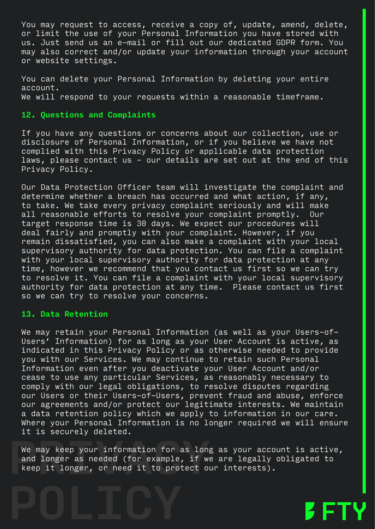You may request to access, receive a copy of, update, amend, delete, or limit the use of your Personal Information you have stored with us. Just send us an e-mail or fill out our dedicated GDPR form. You may also correct and/or update your information through your account or website settings.

You can delete your Personal Information by deleting your entire account. We will respond to your requests within a reasonable timeframe.

#### 12. Questions and Complaints

If you have any questions or concerns about our collection, use or disclosure of Personal Information, or if you believe we have not complied with this Privacy Policy or applicable data protection laws, please contact us – our details are set out at the end of this Privacy Policy.

Our Data Protection Officer team will investigate the complaint and determine whether a breach has occurred and what action, if any, to take. We take every privacy complaint seriously and will make all reasonable efforts to resolve your complaint promptly. Our target response time is 30 days. We expect our procedures will deal fairly and promptly with your complaint. However, if you remain dissatisfied, you can also make a complaint with your local supervisory authority for data protection. You can file a complaint with your local supervisory authority for data protection at any time, however we recommend that you contact us first so we can try to resolve it. You can file a complaint with your local supervisory authority for data protection at any time. Please contact us first so we can try to resolve your concerns.

#### 13. Data Retention

We may retain your Personal Information (as well as your Users-of-Users' Information) for as long as your User Account is active, as indicated in this Privacy Policy or as otherwise needed to provide you with our Services. We may continue to retain such Personal Information even after you deactivate your User Account and/or cease to use any particular Services, as reasonably necessary to comply with our legal obligations, to resolve disputes regarding our Users or their Users-of-Users, prevent fraud and abuse, enforce our agreements and/or protect our legitimate interests. We maintain a data retention policy which we apply to information in our care. Where your Personal Information is no longer required we will ensure it is securely deleted.

We may keep your information for as long<br>and longer as needed (for example, if we<br>keep it longer, or need it to protect ou We may keep your information for as long as your account is active, and longer as needed (for example, if we are legally obligated to keep it longer, or need it to protect our interests).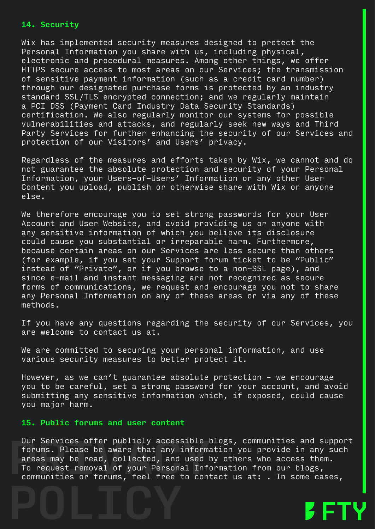#### 14. Security

Wix has implemented security measures designed to protect the Personal Information you share with us, including physical, electronic and procedural measures. Among other things, we offer HTTPS secure access to most areas on our Services; the transmission of sensitive payment information (such as a credit card number) through our designated purchase forms is protected by an industry standard SSL/TLS encrypted connection; and we regularly maintain a PCI DSS (Payment Card Industry Data Security Standards) certification. We also regularly monitor our systems for possible vulnerabilities and attacks, and regularly seek new ways and Third Party Services for further enhancing the security of our Services and protection of our Visitors' and Users' privacy.

Regardless of the measures and efforts taken by Wix, we cannot and do not guarantee the absolute protection and security of your Personal Information, your Users-of-Users' Information or any other User Content you upload, publish or otherwise share with Wix or anyone else.

We therefore encourage you to set strong passwords for your User Account and User Website, and avoid providing us or anyone with any sensitive information of which you believe its disclosure could cause you substantial or irreparable harm. Furthermore, because certain areas on our Services are less secure than others (for example, if you set your Support forum ticket to be "Public" instead of "Private", or if you browse to a non-SSL page), and since e-mail and instant messaging are not recognized as secure forms of communications, we request and encourage you not to share any Personal Information on any of these areas or via any of these methods.

If you have any questions regarding the security of our Services, you are welcome to contact us at.

We are committed to securing your personal information, and use various security measures to better protect it.

However, as we can't guarantee absolute protection – we encourage you to be careful, set a strong password for your account, and avoid submitting any sensitive information which, if exposed, could cause you major harm.

#### 15. Public forums and user content

our services offer publicly accessible to<br>forums. Please be aware that any informa<br>areas may be read, collected, and used t<br>To request removal of your Personal Info<br>communities or forums, feel free to con Our Services offer publicly accessible blogs, communities and support forums. Please be aware that any information you provide in any such areas may be read, collected, and used by others who access them. To request removal of your Personal Information from our blogs, communities or forums, feel free to contact us at: . In some cases,

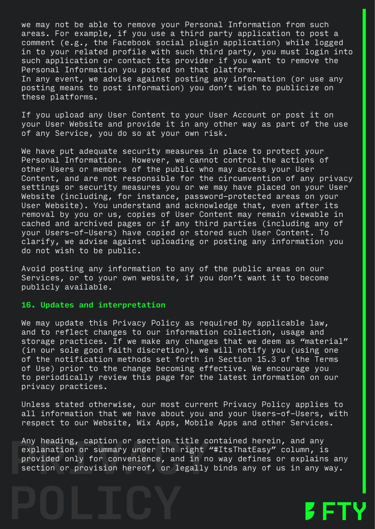we may not be able to remove your Personal Information from such areas. For example, if you use a third party application to post a comment (e.g., the Facebook social plugin application) while logged in to your related profile with such third party, you must login into such application or contact its provider if you want to remove the Personal Information you posted on that platform. In any event, we advise against posting any information (or use any posting means to post information) you don't wish to publicize on these platforms.

If you upload any User Content to your User Account or post it on your User Website and provide it in any other way as part of the use of any Service, you do so at your own risk.

We have put adequate security measures in place to protect your Personal Information. However, we cannot control the actions of other Users or members of the public who may access your User Content, and are not responsible for the circumvention of any privacy settings or security measures you or we may have placed on your User Website (including, for instance, password-protected areas on your User Website). You understand and acknowledge that, even after its removal by you or us, copies of User Content may remain viewable in cached and archived pages or if any third parties (including any of your Users-of-Users) have copied or stored such User Content. To clarify, we advise against uploading or posting any information you do not wish to be public.

Avoid posting any information to any of the public areas on our Services, or to your own website, if you don't want it to become publicly available.

#### 16. Updates and interpretation

We may update this Privacy Policy as required by applicable law, and to reflect changes to our information collection, usage and storage practices. If we make any changes that we deem as "material" (in our sole good faith discretion), we will notify you (using one of the notification methods set forth in Section 15.3 of the Terms of Use) prior to the change becoming effective. We encourage you to periodically review this page for the latest information on our privacy practices.

Unless stated otherwise, our most current Privacy Policy applies to all information that we have about you and your Users-of-Users, with respect to our Website, Wix Apps, Mobile Apps and other Services.

Any neading, caption or section title compressed and the explanation or summary under the right<br>provided only for convenience, and in no<br>section or provision hereof, or legally Any heading, caption or section title contained herein, and any explanation or summary under the right "#ItsThatEasy" column, is provided only for convenience, and in no way defines or explains any section or provision hereof, or legally binds any of us in any way.